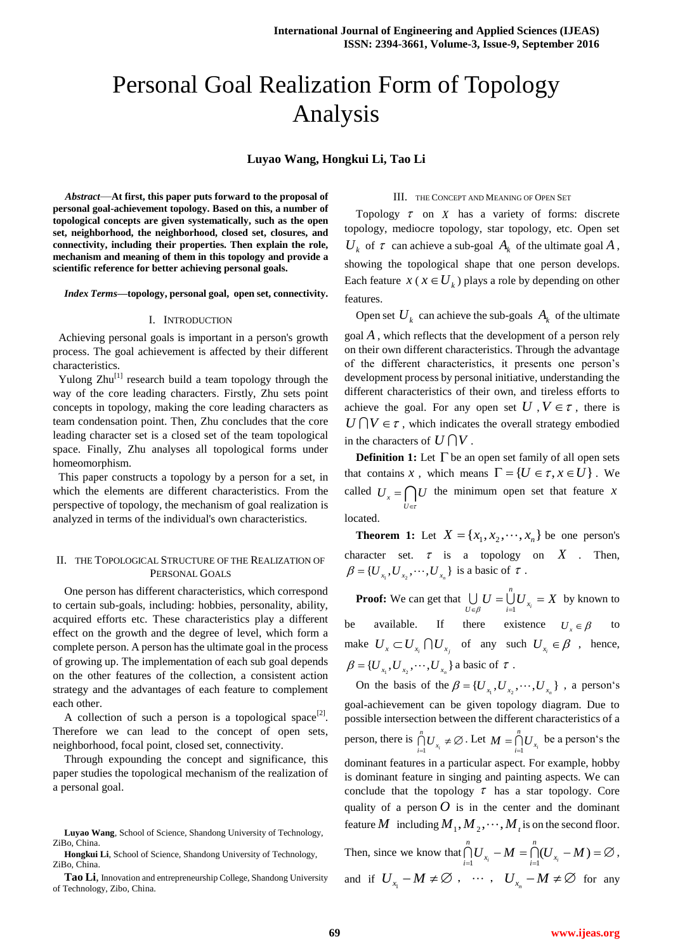# Personal Goal Realization Form of Topology Analysis

## **Luyao Wang, Hongkui Li, Tao Li**

*Abstract*—**At first, this paper puts forward to the proposal of personal goal-achievement topology. Based on this, a number of topological concepts are given systematically, such as the open set, neighborhood, the neighborhood, closed set, closures, and connectivity, including their properties. Then explain the role, mechanism and meaning of them in this topology and provide a scientific reference for better achieving personal goals.**

#### *Index Terms***—topology, personal goal, open set, connectivity.**

#### I. INTRODUCTION

 Achieving personal goals is important in a person's growth process. The goal achievement is affected by their different characteristics.

Yulong  $Zhu^{[1]}$  research build a team topology through the way of the core leading characters. Firstly, Zhu sets point concepts in topology, making the core leading characters as team condensation point. Then, Zhu concludes that the core leading character set is a closed set of the team topological space. Finally, Zhu analyses all topological forms under homeomorphism.

 This paper constructs a topology by a person for a set, in which the elements are different characteristics. From the perspective of topology, the mechanism of goal realization is analyzed in terms of the individual's own characteristics.

## II. THE TOPOLOGICAL STRUCTURE OF THE REALIZATION OF PERSONAL GOALS

One person has different characteristics, which correspond to certain sub-goals, including: hobbies, personality, ability, acquired efforts etc. These characteristics play a different effect on the growth and the degree of level, which form a complete person. A person has the ultimate goal in the process of growing up. The implementation of each sub goal depends on the other features of the collection, a consistent action strategy and the advantages of each feature to complement each other.

A collection of such a person is a topological space<sup>[2]</sup>. Therefore we can lead to the concept of open sets, neighborhood, focal point, closed set, connectivity.

Through expounding the concept and significance, this paper studies the topological mechanism of the realization of a personal goal.

#### III. THE CONCEPT AND MEANING OF OPEN SET

Topology  $\tau$  on  $X$  has a variety of forms: discrete topology, mediocre topology, star topology, etc. Open set  $U_k$  of  $\tau$  can achieve a sub-goal  $A_k$  of the ultimate goal  $A$ , showing the topological shape that one person develops. Each feature  $x$  ( $x \in U_k$ ) plays a role by depending on other features.

Open set  $U_k$  can achieve the sub-goals  $A_k$  of the ultimate goal *A* , which reflects that the development of a person rely on their own different characteristics. Through the advantage of the different characteristics, it presents one person's development process by personal initiative, understanding the different characteristics of their own, and tireless efforts to achieve the goal. For any open set  $U$ ,  $V \in \tau$ , there is  $U \cap V \in \tau$ , which indicates the overall strategy embodied in the characters of  $U \bigcap V$ .

**Definition 1:** Let  $\Gamma$  be an open set family of all open sets that contains x, which means  $\Gamma = \{U \in \tau, x \in U\}$ . We called  $U_x = \bigcap U$  the minimum open set that feature x *U*  $\epsilon$ located.

**Theorem 1:** Let  $X = \{x_1, x_2, \dots, x_n\}$  be one person's character set.  $\tau$  is a topology on  $X$ . Then,

 $\beta = \{U_{x_1}, U_{x_2}, \cdots, U_{x_n}\}\$ is a basic of  $\tau$ . **Proof:** We can get that  $\bigcup_{U \in \mathcal{O}} U = \bigcup_{i=1}^{U} U_{x_i} = X$ *n*  $\bigcup_{U \in \beta} U = \bigcup_{i=1} U_{x_i} = X$  by known to

be available. If there existence  $U_x \in \beta$ to make  $U_x \subset U_{x_i} \cap U_{x_j}$  of any such  $U_{x_i} \in \beta$ , hence,  ${\beta} = \{U_{x_1}, U_{x_2}, \cdots, U_{x_n}\}\$ a basic of  ${\tau}$ .

On the basis of the  $\beta = \{U_{x_1}, U_{x_2}, \cdots, U_{x_n}\}\;$ , a person's goal-achievement can be given topology diagram. Due to possible intersection between the different characteristics of a person, there is  $\bigcap_{i=1}^{n} U_{x_i} \neq \emptyset$ *n*  $\bigcap_{i=1}^n U_{x_i} \neq \emptyset$ . Let  $M = \bigcap_{i=1}^n U_{x_i}$ *n*  $M = \bigcap_{i=1}^{n} U_{x_i}$  be a person's the dominant features in a particular aspect. For example, hobby is dominant feature in singing and painting aspects. We can conclude that the topology  $\tau$  has a star topology. Core quality of a person  $O$  is in the center and the dominant feature M including  $M_1, M_2, \dots, M_t$  is on the second floor. *n*

Then, since we know that  $\bigcap_{i=1}^{n} U_{x_i} - M = \bigcap_{i=1}^{n} (U_{x_i} - M) = \emptyset$  $\sum_{i=1}^{n}$  $\bigcap_{i=1}^{n} U_{x_i} - M = \bigcap_{i=1}^{n} (U_{x_i} - M) = \emptyset$ , and if  $U_{x_1} - M \neq \emptyset$ ,  $\cdots$ ,  $U_{x_n} - M \neq \emptyset$  for any

**Luyao Wang**, School of Science, Shandong University of Technology, ZiBo, China.

**Hongkui Li**, School of Science, Shandong University of Technology, ZiBo, China.

**Tao Li**, Innovation and entrepreneurship College, Shandong University of Technology, Zibo, China.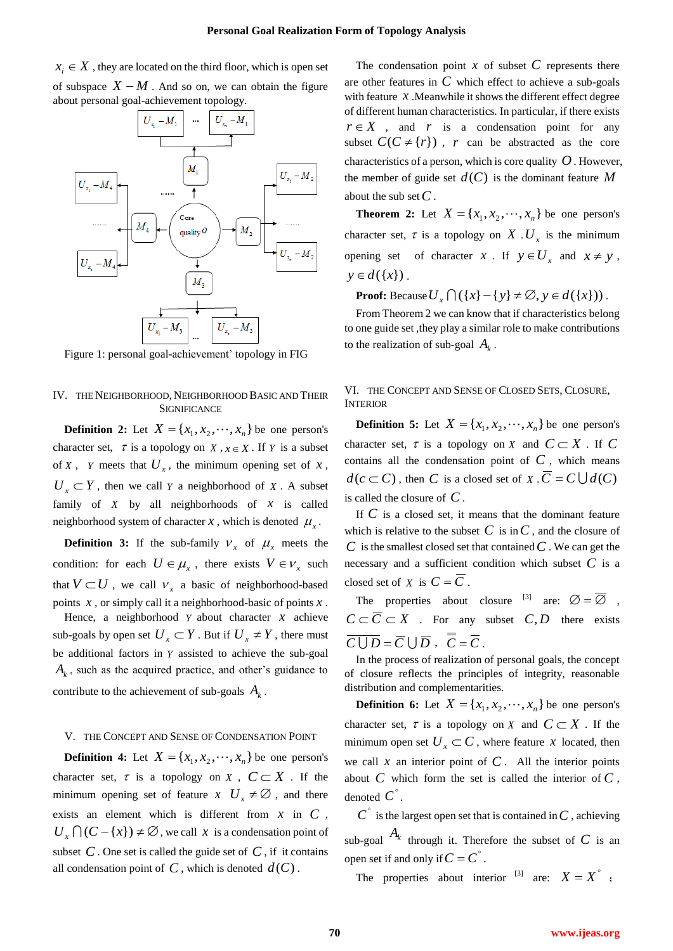$x_i \in X$ , they are located on the third floor, which is open set of subspace  $X - M$ . And so on, we can obtain the figure about personal goal-achievement topology.



Figure 1: personal goal-achievement' topology in FIG

IV. THE NEIGHBORHOOD, NEIGHBORHOOD BASIC AND THEIR **SIGNIFICANCE** 

**Definition 2:** Let  $X = \{x_1, x_2, \dots, x_n\}$  be one person's character set,  $\tau$  is a topology on  $X$ ,  $x \in X$ . If  $Y$  is a subset of  $X$ ,  $Y$  meets that  $U_x$ , the minimum opening set of  $X$ ,  $U_x \subset Y$ , then we call *Y* a neighborhood of *X*. A subset family of  $X$  by all neighborhoods of  $X$  is called neighborhood system of character  $x$ , which is denoted  $\mu_x$ .

**Definition 3:** If the sub-family  $V_x$  of  $\mu_x$  meets the condition: for each  $U \in \mu_x$ , there exists  $V \in V_x$  such that  $V \subset U$ , we call  $V_x$  a basic of neighborhood-based points *x* , or simply call it a neighborhood-basic of points *x* .

Hence, a neighborhood  $Y$  about character  $X$  achieve sub-goals by open set  $U_x \subset Y$ . But if  $U_x \neq Y$ , there must be additional factors in *Y* assisted to achieve the sub-goal *Ak* , such as the acquired practice, and other's guidance to contribute to the achievement of sub-goals  $A_k$ .

## V. THE CONCEPT AND SENSE OF CONDENSATION POINT

**Definition 4:** Let  $X = \{x_1, x_2, \dots, x_n\}$  be one person's character set,  $\tau$  is a topology on X,  $C \subset X$ . If the minimum opening set of feature  $x \mathbf{U}_x \neq \emptyset$ , and there exists an element which is different from  $x$  in  $C$ ,  $U_x \cap (C - \{x\}) \neq \emptyset$ , we call *x* is a condensation point of subset  $C$ . One set is called the guide set of  $C$ , if it contains all condensation point of  $C$ , which is denoted  $d(C)$ .

The condensation point  $x$  of subset  $C$  represents there are other features in *C* which effect to achieve a sub-goals with feature  $x$ . Meanwhile it shows the different effect degree of different human characteristics. In particular, if there exists  $r \in X$ , and *r* is a condensation point for any subset  $C(C \neq \{r\})$ , *r* can be abstracted as the core characteristics of a person, which is core quality  $O$ . However, the member of guide set  $d(C)$  is the dominant feature M about the sub set *C* .

**Theorem 2:** Let  $X = \{x_1, x_2, \dots, x_n\}$  be one person's character set,  $\tau$  is a topology on X.  $U_x$  is the minimum opening set of character *x*. If  $y \in U_x$  and  $x \neq y$ ,  $y \in d({x})$ .

**Proof:** Because  $U_x \cap (\{x\} - \{y\} \neq \emptyset, y \in d(\{x\}))$ .

From Theorem 2 we can know that if characteristics belong to one guide set ,they play a similar role to make contributions to the realization of sub-goal  $A_k$ .

## VI. THE CONCEPT AND SENSE OF CLOSED SETS, CLOSURE, **INTERIOR**

**Definition 5:** Let  $X = \{x_1, x_2, \dots, x_n\}$  be one person's character set,  $\tau$  is a topology on *X* and  $C \subset X$ . If C contains all the condensation point of  $C$ , which means  $d(c \subset C)$ , then *C* is a closed set of *X* .  $\overline{C} = C \cup d(C)$ is called the closure of *C* .

If *C* is a closed set, it means that the dominant feature which is relative to the subset  $C$  is in  $C$ , and the closure of *C* is the smallest closed set that contained *C* . We can get the necessary and a sufficient condition which subset *C* is a closed set of *X* is  $C = \overline{C}$ .

The properties about closure <sup>[3]</sup> are:  $\varnothing = \overline{\varnothing}$  ,  $C \subset \overline{C} \subset X$  . For any subset  $C, D$  there exists  $\overline{C \cup D} = \overline{C} \cup \overline{D}$ ,  $\overline{\overline{C}} = \overline{C}$ .

In the process of realization of personal goals, the concept of closure reflects the principles of integrity, reasonable distribution and complementarities.

**Definition 6:** Let  $X = \{x_1, x_2, \dots, x_n\}$  be one person's character set,  $\tau$  is a topology on X and  $C \subset X$ . If the minimum open set  $U_x \subset C$ , where feature *x* located, then we call  $x$  an interior point of  $C$ . All the interior points about  $C$  which form the set is called the interior of  $C$ , denoted  $C^{\degree}$ .

 $C^{\text{th}}$  is the largest open set that is contained in  $C$ , achieving sub-goal  $A_k$  through it. Therefore the subset of C is an open set if and only if  $C = C^{\circ}$ .

The properties about interior <sup>[3]</sup> are:  $X = X^{\circ}$ ;